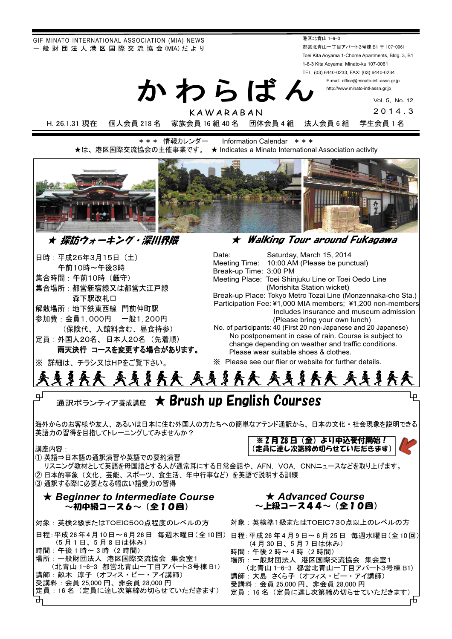GIF MINATO INTERNATIONAL ASSOCIATION (MIA) NEWS - 般 財 団 法 人 港 区 国 際 交 流 協 会 (MIA) だ よ り

港区北青山 1-6-3 都営北青山一丁目アパート3号棟 B1 〒 107-0061 Toei Kita Aoyama 1-Chome Apartments, Bldg. 3, B1 1-6-3 Kita Aoyama; Minato-ku 107-0061 TEL: (03) 6440-0233, FAX: (03) 6440-0234

E-mail: office@minato-intl-assn.gr.jp http://www.minato-intl-assn.gr.jp

Vol. 5, No. 12

KAWARABAN 2014.3 H. 26.1.31 現在 個人会員 218 名 家族会員 16 組 40 名 団体会員 4 組 法人会員 6 組 学生会員 1 名

**\*\*\* 情報カレンダー Information Calendar \*\*\*** ★は、港区国際交流協会の主催事業です。 ★ Indicates a Minato International Association activity

かわらばん



### │ ★ 探訪ウォーキング・深川界隈

日時:平成26年3月15日 (土) 午前10時~午後3時 集合時間:午前10時(厳守) 集合場所:都営新宿線又は都営大江戸線 森下駅改札口 解散場所: 地下鉄東西線 門前仲町駅 参加費:会員1,000円 一般1,200円 (保険代、入館料含む、昼食持参) 定員: 外国人20名、日本人20名 (先着順)

※ 詳細は チラシ又はHPをご覧下さい.

ᴾᴾᴾᴾᴾṾẅᵵᵿᶊᶉᶇᶌᶅᴾᵲᶍᶓᶐᴾᵿᶐᶍᶓᶌᶂᴾᵤᶓᶉᵿᶅᵿᶕᵿ

兩天決行 コースを変更する場合があります。 Date: Saturday, March 15, 2014 Meeting Time: 10:00 AM (Please be punctual) Break-up Time: 3:00 PM Meeting Place: Toei Shinjuku Line or Toei Oedo Line (Morishita Station wicket) Break-up Place: Tokyo Metro Tozai Line (Monzennaka-cho Sta.) Participation Fee: ¥1,000 MIA members; ¥1,200 non-members Includes insurance and museum admission (Please bring your own lunch) No. of participants: 40 (First 20 non-Japanese and 20 Japanese) No postponement in case of rain. Course is subject to change depending on weather and traffic conditions. Please wear suitable shoes & clothes. 䈜䚷Please see our flier or website for further details.